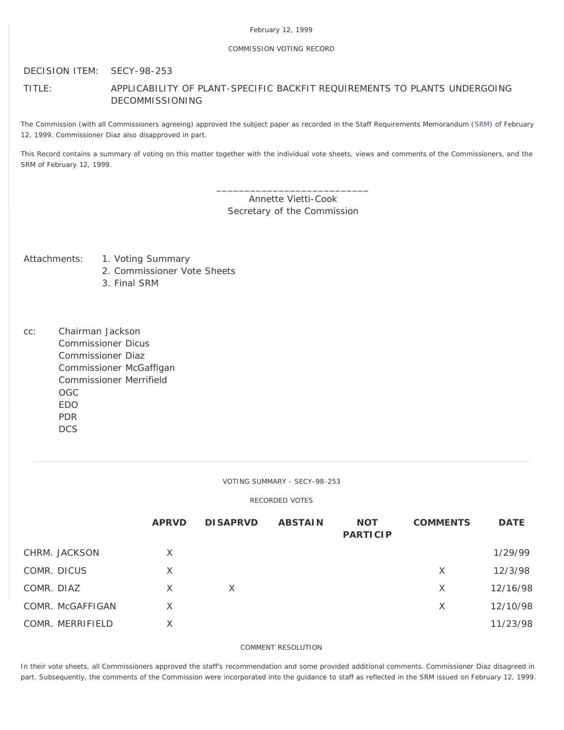### February 12, 1999

# COMMISSION VOTING RECORD

DECISION ITEM: SECY-98-253

# TITLE: APPLICABILITY OF PLANT-SPECIFIC BACKFIT REQUIREMENTS TO PLANTS UNDERGOING DECOMMISSIONING

The Commission (with all Commissioners agreeing) approved the subject paper as recorded in the Staff Requirements Memorandum [\(SRM](http://www.nrc.gov/reading-rm/doc-collections/commission/srm/1998/1998-253srm.html)) of February 12, 1999. Commissioner Diaz also disapproved in part.

This Record contains a summary of voting on this matter together with the individual vote sheets, views and comments of the Commissioners, and the SRM of February 12, 1999.

> \_\_\_\_\_\_\_\_\_\_\_\_\_\_\_\_\_\_\_\_\_\_\_\_\_\_\_ Annette Vietti-Cook Secretary of the Commission

- Attachments: 1. Voting Summary
	- 2. Commissioner Vote Sheets
	- 3. Final SRM
- cc: Chairman Jackson Commissioner Dicus Commissioner Diaz Commissioner McGaffigan Commissioner Merrifield OGC EDO PDR **DCS**

VOTING SUMMARY - SECY-98-253

### RECORDED VOTES

|               |                  | <b>APRVD</b> | <b>DISAPRVD</b> | <b>ABSTAIN</b> | <b>NOT</b><br><b>PARTICIP</b> | <b>COMMENTS</b> | <b>DATE</b> |
|---------------|------------------|--------------|-----------------|----------------|-------------------------------|-----------------|-------------|
| CHRM. JACKSON |                  | X            |                 |                |                               |                 | 1/29/99     |
| COMR. DICUS   |                  | X            |                 |                |                               | X               | 12/3/98     |
| COMR. DIAZ    |                  | X            | X               |                |                               | X               | 12/16/98    |
|               | COMR. McGAFFIGAN | X            |                 |                |                               | $\times$        | 12/10/98    |
|               | COMR. MERRIFIELD | X            |                 |                |                               |                 | 11/23/98    |

COMMENT RESOLUTION

In their vote sheets, all Commissioners approved the staff's recommendation and some provided additional comments. Commissioner Diaz disagreed in part. Subsequently, the comments of the Commission were incorporated into the guidance to staff as reflected in the SRM issued on February 12, 1999.